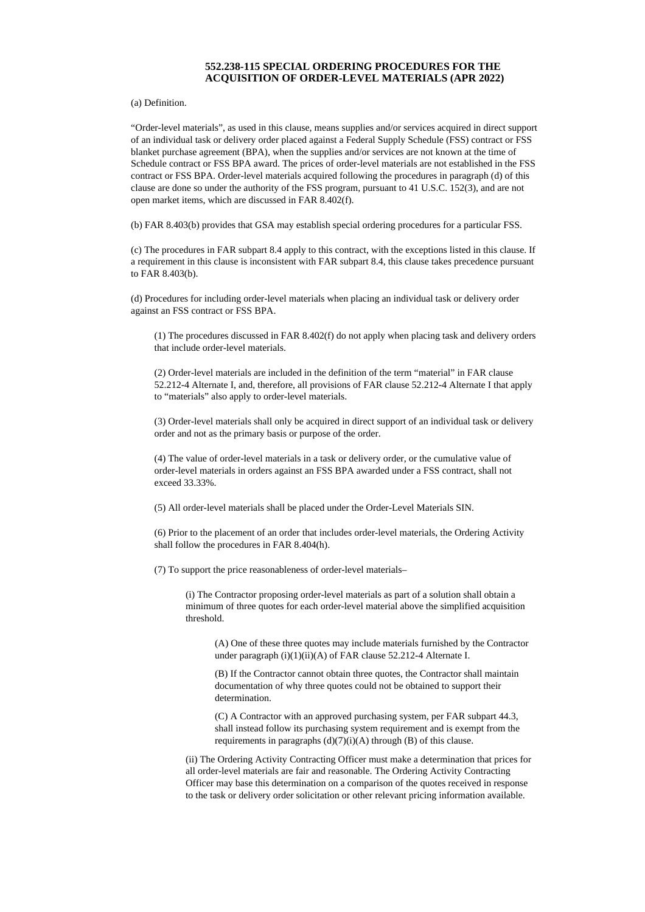## **552.238-115 SPECIAL ORDERING PROCEDURES FOR THE ACQUISITION OF ORDER-LEVEL MATERIALS (APR 2022)**

(a) Definition.

"Order-level materials", as used in this clause, means supplies and/or services acquired in direct support of an individual task or delivery order placed against a Federal Supply Schedule (FSS) contract or FSS blanket purchase agreement (BPA), when the supplies and/or services are not known at the time of Schedule contract or FSS BPA award. The prices of order-level materials are not established in the FSS contract or FSS BPA. Order-level materials acquired following the procedures in paragraph (d) of this clause are done so under the authority of the FSS program, pursuant to 41 U.S.C. 152(3), and are not open market items, which are discussed in FAR 8.402(f).

(b) FAR 8.403(b) provides that GSA may establish special ordering procedures for a particular FSS.

(c) The procedures in FAR subpart 8.4 apply to this contract, with the exceptions listed in this clause. If a requirement in this clause is inconsistent with FAR subpart 8.4, this clause takes precedence pursuant to FAR 8.403(b).

(d) Procedures for including order-level materials when placing an individual task or delivery order against an FSS contract or FSS BPA.

(1) The procedures discussed in FAR 8.402(f) do not apply when placing task and delivery orders that include order-level materials.

(2) Order-level materials are included in the definition of the term "material" in FAR clause 52.212-4 Alternate I, and, therefore, all provisions of FAR clause 52.212-4 Alternate I that apply to "materials" also apply to order-level materials.

(3) Order-level materials shall only be acquired in direct support of an individual task or delivery order and not as the primary basis or purpose of the order.

(4) The value of order-level materials in a task or delivery order, or the cumulative value of order-level materials in orders against an FSS BPA awarded under a FSS contract, shall not exceed 33.33%.

(5) All order-level materials shall be placed under the Order-Level Materials SIN.

(6) Prior to the placement of an order that includes order-level materials, the Ordering Activity shall follow the procedures in FAR 8.404(h).

(7) To support the price reasonableness of order-level materials–

(i) The Contractor proposing order-level materials as part of a solution shall obtain a minimum of three quotes for each order-level material above the simplified acquisition threshold.

(A) One of these three quotes may include materials furnished by the Contractor under paragraph (i)(1)(ii)(A) of FAR clause 52.212-4 Alternate I.

(B) If the Contractor cannot obtain three quotes, the Contractor shall maintain documentation of why three quotes could not be obtained to support their determination.

(C) A Contractor with an approved purchasing system, per FAR subpart 44.3, shall instead follow its purchasing system requirement and is exempt from the requirements in paragraphs (d)(7)(i)(A) through (B) of this clause.

(ii) The Ordering Activity Contracting Officer must make a determination that prices for all order-level materials are fair and reasonable. The Ordering Activity Contracting Officer may base this determination on a comparison of the quotes received in response to the task or delivery order solicitation or other relevant pricing information available.